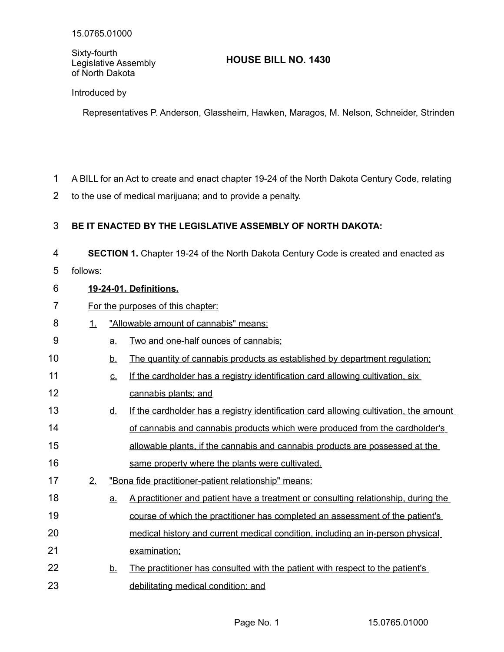Sixty-fourth Legislative Assembly of North Dakota

# **HOUSE BILL NO. 1430**

Introduced by

Representatives P. Anderson, Glassheim, Hawken, Maragos, M. Nelson, Schneider, Strinden

- A BILL for an Act to create and enact chapter 19-24 of the North Dakota Century Code, relating 1
- to the use of medical marijuana; and to provide a penalty. 2

#### **BE IT ENACTED BY THE LEGISLATIVE ASSEMBLY OF NORTH DAKOTA:** 3

**SECTION 1.** Chapter 19-24 of the North Dakota Century Code is created and enacted as 4

follows: 5

#### **19 - 24 - 01. Definitions.** 6

- For the purposes of this chapter: 7
- 1. "Allowable amount of cannabis" means: 8
- a. Two and one-half ounces of cannabis; 9
- b. The quantity of cannabis products as established by department regulation; 10
- c. If the cardholder has a registry identification card allowing cultivation, six cannabis plants; and 11 12
- d. If the cardholder has a registry identification card allowing cultivation, the amount of cannabis and cannabis products which were produced from the cardholder's allowable plants, if the cannabis and cannabis products are possessed at the same property where the plants were cultivated. 13 14 15 16
- 2. "Bona fide practitioner-patient relationship" means: 17
- a. A practitioner and patient have a treatment or consulting relationship, during the course of which the practitioner has completed an assessment of the patient's medical history and current medical condition, including an in-person physical examination; 18 19 20 21
- b. The practitioner has consulted with the patient with respect to the patient's debilitating medical condition; and 22 23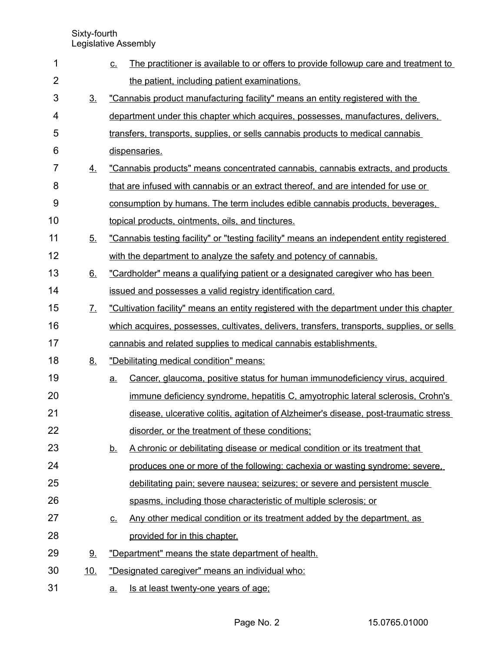| 1              |                             | The practitioner is available to or offers to provide followup care and treatment to<br><u>C.</u> |
|----------------|-----------------------------|---------------------------------------------------------------------------------------------------|
| $\overline{2}$ |                             | the patient, including patient examinations.                                                      |
| 3              | 3 <sub>1</sub>              | "Cannabis product manufacturing facility" means an entity registered with the                     |
| 4              |                             | department under this chapter which acquires, possesses, manufactures, delivers,                  |
| 5              |                             | transfers, transports, supplies, or sells cannabis products to medical cannabis                   |
| 6              |                             | dispensaries.                                                                                     |
| $\overline{7}$ | 4.                          | "Cannabis products" means concentrated cannabis, cannabis extracts, and products                  |
| 8              |                             | that are infused with cannabis or an extract thereof, and are intended for use or                 |
| 9              |                             | consumption by humans. The term includes edible cannabis products, beverages,                     |
| 10             |                             | topical products, ointments, oils, and tinctures.                                                 |
| 11             | 5 <sub>1</sub>              | "Cannabis testing facility" or "testing facility" means an independent entity registered          |
| 12             |                             | with the department to analyze the safety and potency of cannabis.                                |
| 13             | 6.                          | "Cardholder" means a qualifying patient or a designated caregiver who has been                    |
| 14             |                             | issued and possesses a valid registry identification card.                                        |
| 15             | $\mathcal{I}_{\mathcal{L}}$ | "Cultivation facility" means an entity registered with the department under this chapter          |
| 16             |                             | which acquires, possesses, cultivates, delivers, transfers, transports, supplies, or sells        |
| 17             |                             | cannabis and related supplies to medical cannabis establishments.                                 |
| 18             | 8.                          | "Debilitating medical condition" means:                                                           |
| 19             |                             | Cancer, glaucoma, positive status for human immunodeficiency virus, acquired<br><u>a.</u>         |
| 20             |                             | immune deficiency syndrome, hepatitis C, amyotrophic lateral sclerosis, Crohn's                   |
| 21             |                             | disease, ulcerative colitis, agitation of Alzheimer's disease, post-traumatic stress              |
| 22             |                             | disorder, or the treatment of these conditions;                                                   |
| 23             |                             | A chronic or debilitating disease or medical condition or its treatment that<br><u>b.</u>         |
| 24             |                             | produces one or more of the following: cachexia or wasting syndrome; severe,                      |
| 25             |                             | debilitating pain; severe nausea; seizures; or severe and persistent muscle                       |
| 26             |                             | spasms, including those characteristic of multiple sclerosis; or                                  |
| 27             |                             | Any other medical condition or its treatment added by the department, as<br><u>C.</u>             |
| 28             |                             | provided for in this chapter.                                                                     |
| 29             | <u>9.</u>                   | "Department" means the state department of health.                                                |
| 30             | <u>10.</u>                  | "Designated caregiver" means an individual who:                                                   |
| 31             |                             | Is at least twenty-one years of age:<br>a.                                                        |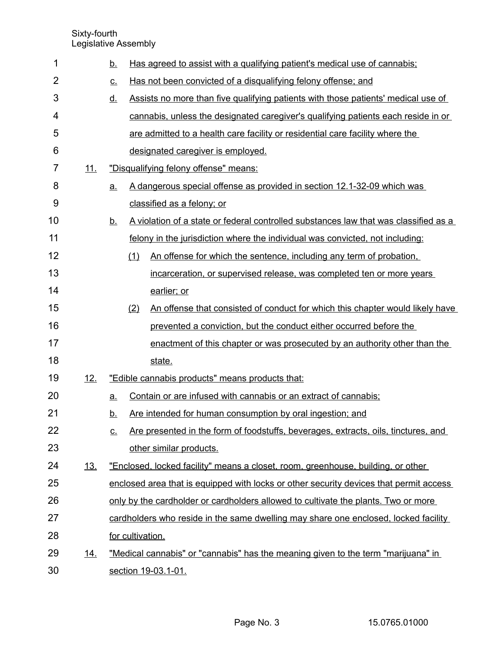Sixty-fourth

Legislative Assembly

| 1              |            | <u>b.</u>       |     | Has agreed to assist with a qualifying patient's medical use of cannabis;              |
|----------------|------------|-----------------|-----|----------------------------------------------------------------------------------------|
| $\overline{2}$ |            | <u>c.</u>       |     | Has not been convicted of a disqualifying felony offense; and                          |
| 3              |            | <u>d.</u>       |     | Assists no more than five qualifying patients with those patients' medical use of      |
| 4              |            |                 |     | cannabis, unless the designated caregiver's qualifying patients each reside in or      |
| 5              |            |                 |     | are admitted to a health care facility or residential care facility where the          |
| 6              |            |                 |     | designated caregiver is employed.                                                      |
| 7              | <u>11.</u> |                 |     | "Disqualifying felony offense" means:                                                  |
| 8              |            | $\underline{a}$ |     | A dangerous special offense as provided in section 12.1-32-09 which was                |
| 9              |            |                 |     | classified as a felony; or                                                             |
| 10             |            | <u>b.</u>       |     | A violation of a state or federal controlled substances law that was classified as a   |
| 11             |            |                 |     | felony in the jurisdiction where the individual was convicted, not including:          |
| 12             |            |                 | (1) | An offense for which the sentence, including any term of probation,                    |
| 13             |            |                 |     | incarceration, or supervised release, was completed ten or more years                  |
| 14             |            |                 |     | earlier; or                                                                            |
| 15             |            |                 | (2) | An offense that consisted of conduct for which this chapter would likely have          |
| 16             |            |                 |     | prevented a conviction, but the conduct either occurred before the                     |
| 17             |            |                 |     | enactment of this chapter or was prosecuted by an authority other than the             |
| 18             |            |                 |     | state.                                                                                 |
| 19             | 12.        |                 |     | "Edible cannabis products" means products that:                                        |
| 20             |            | a.              |     | Contain or are infused with cannabis or an extract of cannabis;                        |
| 21             |            | <u>b.</u>       |     | Are intended for human consumption by oral ingestion; and                              |
| 22             |            | <u>c.</u>       |     | Are presented in the form of foodstuffs, beverages, extracts, oils, tinctures, and     |
| 23             |            |                 |     | other similar products.                                                                |
| 24             | <u>13.</u> |                 |     | "Enclosed, locked facility" means a closet, room, greenhouse, building, or other       |
| 25             |            |                 |     | enclosed area that is equipped with locks or other security devices that permit access |
| 26             |            |                 |     | only by the cardholder or cardholders allowed to cultivate the plants. Two or more     |
| 27             |            |                 |     | cardholders who reside in the same dwelling may share one enclosed, locked facility    |
| 28             |            |                 |     | for cultivation.                                                                       |
| 29             | <u>14.</u> |                 |     | "Medical cannabis" or "cannabis" has the meaning given to the term "marijuana" in      |
| 30             |            |                 |     | section 19-03.1-01.                                                                    |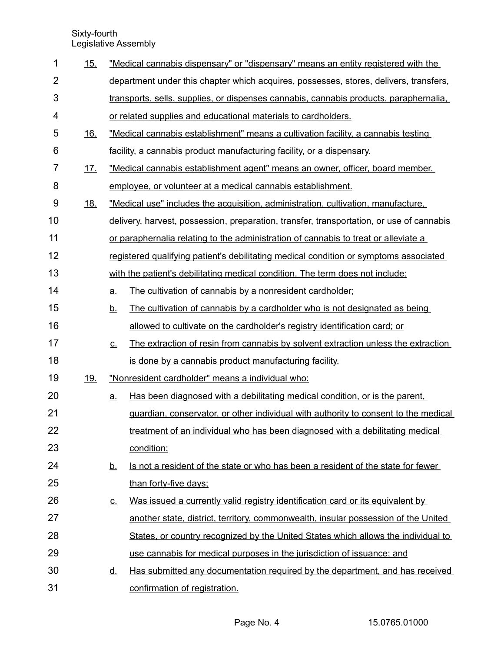| 1              | 15.        |           | "Medical cannabis dispensary" or "dispensary" means an entity registered with the        |
|----------------|------------|-----------|------------------------------------------------------------------------------------------|
| $\overline{2}$ |            |           | department under this chapter which acquires, possesses, stores, delivers, transfers,    |
| 3              |            |           | transports, sells, supplies, or dispenses cannabis, cannabis products, paraphernalia,    |
| 4              |            |           | or related supplies and educational materials to cardholders.                            |
| 5              | 16.        |           | "Medical cannabis establishment" means a cultivation facility, a cannabis testing        |
| 6              |            |           | facility, a cannabis product manufacturing facility, or a dispensary.                    |
| 7              | 17.        |           | "Medical cannabis establishment agent" means an owner, officer, board member,            |
| 8              |            |           | employee, or volunteer at a medical cannabis establishment.                              |
| 9              | <u>18.</u> |           | "Medical use" includes the acquisition, administration, cultivation, manufacture,        |
| 10             |            |           | delivery, harvest, possession, preparation, transfer, transportation, or use of cannabis |
| 11             |            |           | or paraphernalia relating to the administration of cannabis to treat or alleviate a      |
| 12             |            |           | registered qualifying patient's debilitating medical condition or symptoms associated    |
| 13             |            |           | with the patient's debilitating medical condition. The term does not include:            |
| 14             |            | <u>a.</u> | The cultivation of cannabis by a nonresident cardholder;                                 |
| 15             |            | <u>b.</u> | The cultivation of cannabis by a cardholder who is not designated as being               |
| 16             |            |           | allowed to cultivate on the cardholder's registry identification card; or                |
| 17             |            | $C_{-}$   | The extraction of resin from cannabis by solvent extraction unless the extraction        |
| 18             |            |           | is done by a cannabis product manufacturing facility.                                    |
| 19             | <u>19.</u> |           | "Nonresident cardholder" means a individual who:                                         |
| 20             |            | <u>a.</u> | Has been diagnosed with a debilitating medical condition, or is the parent,              |
| 21             |            |           | guardian, conservator, or other individual with authority to consent to the medical      |
| 22             |            |           | treatment of an individual who has been diagnosed with a debilitating medical            |
| 23             |            |           | condition;                                                                               |
| 24             |            | <u>b.</u> | Is not a resident of the state or who has been a resident of the state for fewer         |
| 25             |            |           | than forty-five days;                                                                    |
| 26             |            | <u>c.</u> | Was issued a currently valid registry identification card or its equivalent by           |
| 27             |            |           | another state, district, territory, commonwealth, insular possession of the United       |
| 28             |            |           | States, or country recognized by the United States which allows the individual to        |
| 29             |            |           | use cannabis for medical purposes in the jurisdiction of issuance; and                   |
| 30             |            | <u>d.</u> | Has submitted any documentation required by the department, and has received             |
| 31             |            |           | confirmation of registration.                                                            |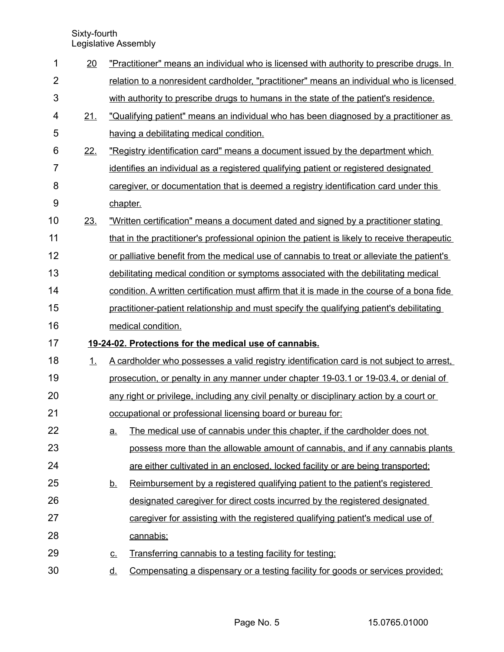| 1              | 20  |           | "Practitioner" means an individual who is licensed with authority to prescribe drugs. In     |
|----------------|-----|-----------|----------------------------------------------------------------------------------------------|
| $\overline{2}$ |     |           | relation to a nonresident cardholder, "practitioner" means an individual who is licensed     |
| 3              |     |           | with authority to prescribe drugs to humans in the state of the patient's residence.         |
| 4              | 21. |           | "Qualifying patient" means an individual who has been diagnosed by a practitioner as         |
| 5              |     |           | having a debilitating medical condition.                                                     |
| 6              | 22. |           | "Registry identification card" means a document issued by the department which               |
| $\overline{7}$ |     |           | identifies an individual as a registered qualifying patient or registered designated         |
| 8              |     |           | caregiver, or documentation that is deemed a registry identification card under this         |
| 9              |     | chapter.  |                                                                                              |
| 10             | 23. |           | "Written certification" means a document dated and signed by a practitioner stating          |
| 11             |     |           | that in the practitioner's professional opinion the patient is likely to receive therapeutic |
| 12             |     |           | or palliative benefit from the medical use of cannabis to treat or alleviate the patient's   |
| 13             |     |           | debilitating medical condition or symptoms associated with the debilitating medical          |
| 14             |     |           | condition. A written certification must affirm that it is made in the course of a bona fide  |
| 15             |     |           | practitioner-patient relationship and must specify the qualifying patient's debilitating     |
| 16             |     |           | medical condition.                                                                           |
| 17             |     |           | 19-24-02. Protections for the medical use of cannabis.                                       |
| 18             | 1.  |           | A cardholder who possesses a valid registry identification card is not subject to arrest.    |
| 19             |     |           | prosecution, or penalty in any manner under chapter 19-03.1 or 19-03.4, or denial of         |
| 20             |     |           | any right or privilege, including any civil penalty or disciplinary action by a court or     |
| 21             |     |           | occupational or professional licensing board or bureau for:                                  |
| 22             |     | <u>a.</u> | The medical use of cannabis under this chapter, if the cardholder does not                   |
| 23             |     |           | possess more than the allowable amount of cannabis, and if any cannabis plants               |
| 24             |     |           | are either cultivated in an enclosed, locked facility or are being transported;              |
| 25             |     | <u>b.</u> | Reimbursement by a registered qualifying patient to the patient's registered                 |
| 26             |     |           | designated caregiver for direct costs incurred by the registered designated                  |
| 27             |     |           | caregiver for assisting with the registered qualifying patient's medical use of              |
| 28             |     |           | cannabis;                                                                                    |
| 29             |     | <u>c.</u> | Transferring cannabis to a testing facility for testing;                                     |
| 30             |     | <u>d.</u> | Compensating a dispensary or a testing facility for goods or services provided;              |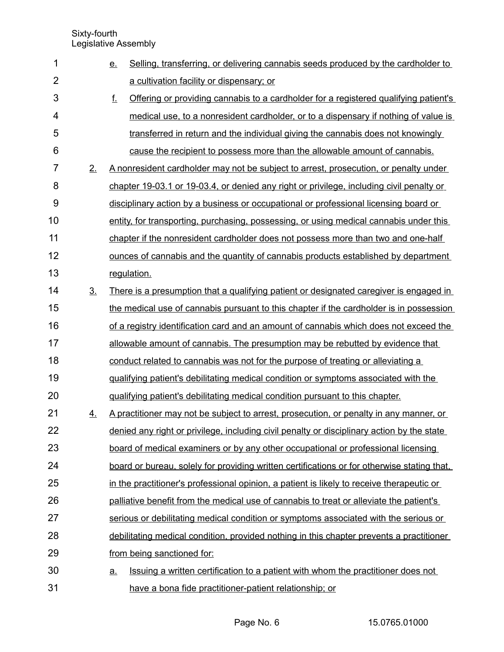| 1              |                | Selling, transferring, or delivering cannabis seeds produced by the cardholder to<br><u>e.</u> |
|----------------|----------------|------------------------------------------------------------------------------------------------|
| $\overline{2}$ |                | a cultivation facility or dispensary; or                                                       |
| 3              |                | f.<br>Offering or providing cannabis to a cardholder for a registered qualifying patient's     |
| 4              |                | medical use, to a nonresident cardholder, or to a dispensary if nothing of value is            |
| 5              |                | transferred in return and the individual giving the cannabis does not knowingly                |
| 6              |                | cause the recipient to possess more than the allowable amount of cannabis.                     |
| $\overline{7}$ | 2.             | A nonresident cardholder may not be subject to arrest, prosecution, or penalty under           |
| 8              |                | chapter 19-03.1 or 19-03.4, or denied any right or privilege, including civil penalty or       |
| 9              |                | disciplinary action by a business or occupational or professional licensing board or           |
| 10             |                | entity, for transporting, purchasing, possessing, or using medical cannabis under this         |
| 11             |                | chapter if the nonresident cardholder does not possess more than two and one-half              |
| 12             |                | ounces of cannabis and the quantity of cannabis products established by department             |
| 13             |                | regulation.                                                                                    |
| 14             | 3 <sub>1</sub> | There is a presumption that a qualifying patient or designated caregiver is engaged in         |
| 15             |                | the medical use of cannabis pursuant to this chapter if the cardholder is in possession        |
| 16             |                | of a registry identification card and an amount of cannabis which does not exceed the          |
| 17             |                | allowable amount of cannabis. The presumption may be rebutted by evidence that                 |
| 18             |                | conduct related to cannabis was not for the purpose of treating or alleviating a               |
| 19             |                | qualifying patient's debilitating medical condition or symptoms associated with the            |
| 20             |                | qualifying patient's debilitating medical condition pursuant to this chapter.                  |
| 21             | 4.             | A practitioner may not be subject to arrest, prosecution, or penalty in any manner, or         |
| 22             |                | denied any right or privilege, including civil penalty or disciplinary action by the state     |
| 23             |                | board of medical examiners or by any other occupational or professional licensing              |
| 24             |                | board or bureau, solely for providing written certifications or for otherwise stating that,    |
| 25             |                | in the practitioner's professional opinion, a patient is likely to receive therapeutic or      |
| 26             |                | palliative benefit from the medical use of cannabis to treat or alleviate the patient's        |
| 27             |                | serious or debilitating medical condition or symptoms associated with the serious or           |
| 28             |                | debilitating medical condition, provided nothing in this chapter prevents a practitioner       |
| 29             |                | from being sanctioned for:                                                                     |
| 30             |                | Issuing a written certification to a patient with whom the practitioner does not<br>a.         |
| 31             |                | have a bona fide practitioner-patient relationship; or                                         |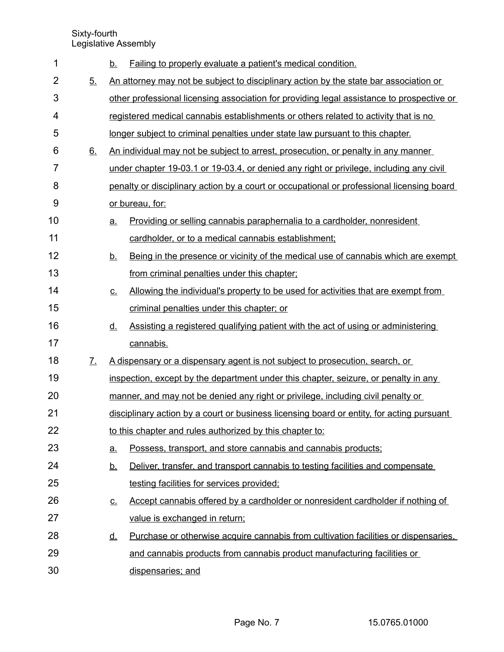| 1              |              | <u>b.</u> | Failing to properly evaluate a patient's medical condition.                               |
|----------------|--------------|-----------|-------------------------------------------------------------------------------------------|
| $\overline{2}$ | 5.           |           | An attorney may not be subject to disciplinary action by the state bar association or     |
| 3              |              |           | other professional licensing association for providing legal assistance to prospective or |
| 4              |              |           | registered medical cannabis establishments or others related to activity that is no       |
| 5              |              |           | longer subject to criminal penalties under state law pursuant to this chapter.            |
| 6              | 6.           |           | An individual may not be subject to arrest, prosecution, or penalty in any manner         |
| $\overline{7}$ |              |           | under chapter 19-03.1 or 19-03.4, or denied any right or privilege, including any civil   |
| 8              |              |           | penalty or disciplinary action by a court or occupational or professional licensing board |
| 9              |              |           | or bureau, for:                                                                           |
| 10             |              | <u>a.</u> | Providing or selling cannabis paraphernalia to a cardholder, nonresident                  |
| 11             |              |           | cardholder, or to a medical cannabis establishment;                                       |
| 12             |              | <u>b.</u> | Being in the presence or vicinity of the medical use of cannabis which are exempt         |
| 13             |              |           | from criminal penalties under this chapter;                                               |
| 14             |              | <u>c.</u> | Allowing the individual's property to be used for activities that are exempt from         |
| 15             |              |           | criminal penalties under this chapter; or                                                 |
|                |              |           |                                                                                           |
| 16             |              | <u>d.</u> | Assisting a registered qualifying patient with the act of using or administering          |
| 17             |              |           | cannabis.                                                                                 |
| 18             | $\mathbf{Z}$ |           | A dispensary or a dispensary agent is not subject to prosecution, search, or              |
| 19             |              |           | inspection, except by the department under this chapter, seizure, or penalty in any       |
| 20             |              |           | manner, and may not be denied any right or privilege, including civil penalty or          |
| 21             |              |           | disciplinary action by a court or business licensing board or entity, for acting pursuant |
| 22             |              |           | to this chapter and rules authorized by this chapter to:                                  |
| 23             |              | <u>a</u>  | Possess, transport, and store cannabis and cannabis products;                             |
| 24             |              | <u>b.</u> | Deliver, transfer, and transport cannabis to testing facilities and compensate            |
| 25             |              |           | testing facilities for services provided;                                                 |
| 26             |              | <u>c.</u> | Accept cannabis offered by a cardholder or nonresident cardholder if nothing of           |
| 27             |              |           | value is exchanged in return;                                                             |
| 28             |              | <u>d.</u> | Purchase or otherwise acquire cannabis from cultivation facilities or dispensaries.       |
| 29             |              |           | and cannabis products from cannabis product manufacturing facilities or                   |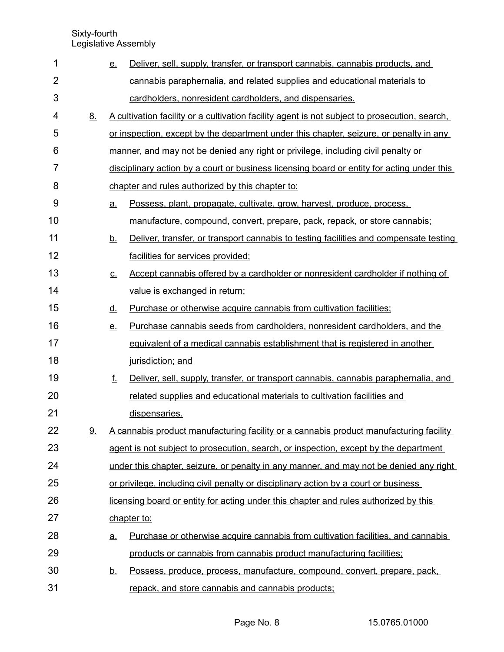| 1  |           | <u>e.</u> | Deliver, sell, supply, transfer, or transport cannabis, cannabis products, and                |
|----|-----------|-----------|-----------------------------------------------------------------------------------------------|
| 2  |           |           | cannabis paraphernalia, and related supplies and educational materials to                     |
| 3  |           |           | cardholders, nonresident cardholders, and dispensaries.                                       |
| 4  | 8.        |           | A cultivation facility or a cultivation facility agent is not subject to prosecution, search, |
| 5  |           |           | or inspection, except by the department under this chapter, seizure, or penalty in any        |
| 6  |           |           | manner, and may not be denied any right or privilege, including civil penalty or              |
| 7  |           |           | disciplinary action by a court or business licensing board or entity for acting under this    |
| 8  |           |           | chapter and rules authorized by this chapter to:                                              |
| 9  |           | <u>a.</u> | Possess, plant, propagate, cultivate, grow, harvest, produce, process,                        |
| 10 |           |           | manufacture, compound, convert, prepare, pack, repack, or store cannabis;                     |
| 11 |           | <u>b.</u> | Deliver, transfer, or transport cannabis to testing facilities and compensate testing         |
| 12 |           |           | facilities for services provided;                                                             |
| 13 |           | <u>C.</u> | Accept cannabis offered by a cardholder or nonresident cardholder if nothing of               |
| 14 |           |           | value is exchanged in return;                                                                 |
| 15 |           | <u>d.</u> | Purchase or otherwise acquire cannabis from cultivation facilities;                           |
| 16 |           | e.        | Purchase cannabis seeds from cardholders, nonresident cardholders, and the                    |
| 17 |           |           | equivalent of a medical cannabis establishment that is registered in another                  |
| 18 |           |           | jurisdiction; and                                                                             |
| 19 |           | f.        | Deliver, sell, supply, transfer, or transport cannabis, cannabis paraphernalia, and           |
| 20 |           |           | related supplies and educational materials to cultivation facilities and                      |
| 21 |           |           | dispensaries.                                                                                 |
| 22 | <u>9.</u> |           | A cannabis product manufacturing facility or a cannabis product manufacturing facility        |
| 23 |           |           | agent is not subject to prosecution, search, or inspection, except by the department          |
| 24 |           |           | under this chapter, seizure, or penalty in any manner, and may not be denied any right        |
| 25 |           |           | or privilege, including civil penalty or disciplinary action by a court or business           |
| 26 |           |           | licensing board or entity for acting under this chapter and rules authorized by this          |
| 27 |           |           | chapter to:                                                                                   |
| 28 |           | <u>a.</u> | Purchase or otherwise acquire cannabis from cultivation facilities, and cannabis              |
| 29 |           |           | products or cannabis from cannabis product manufacturing facilities;                          |
| 30 |           | <u>b.</u> | Possess, produce, process, manufacture, compound, convert, prepare, pack,                     |
| 31 |           |           | repack, and store cannabis and cannabis products;                                             |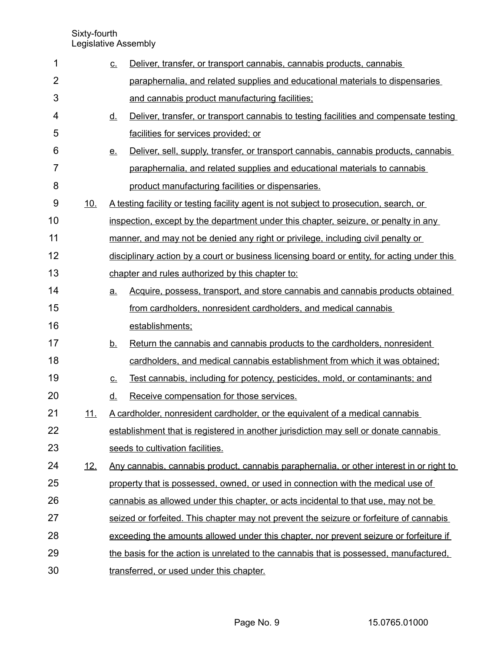| 1              |            | <u>c.</u> | Deliver, transfer, or transport cannabis, cannabis products, cannabis                       |
|----------------|------------|-----------|---------------------------------------------------------------------------------------------|
| $\overline{2}$ |            |           | paraphernalia, and related supplies and educational materials to dispensaries               |
| 3              |            |           | and cannabis product manufacturing facilities;                                              |
| 4              |            | <u>d.</u> | Deliver, transfer, or transport cannabis to testing facilities and compensate testing       |
| 5              |            |           | facilities for services provided; or                                                        |
| 6              |            | <u>e.</u> | Deliver, sell, supply, transfer, or transport cannabis, cannabis products, cannabis         |
| 7              |            |           | paraphernalia, and related supplies and educational materials to cannabis                   |
| 8              |            |           | product manufacturing facilities or dispensaries.                                           |
| 9              | <u>10.</u> |           | A testing facility or testing facility agent is not subject to prosecution, search, or      |
| 10             |            |           | inspection, except by the department under this chapter, seizure, or penalty in any         |
| 11             |            |           | manner, and may not be denied any right or privilege, including civil penalty or            |
| 12             |            |           | disciplinary action by a court or business licensing board or entity, for acting under this |
| 13             |            |           | chapter and rules authorized by this chapter to:                                            |
| 14             |            | <u>a.</u> | Acquire, possess, transport, and store cannabis and cannabis products obtained              |
| 15             |            |           | from cardholders, nonresident cardholders, and medical cannabis                             |
| 16             |            |           | establishments;                                                                             |
| 17             |            | <u>b.</u> | Return the cannabis and cannabis products to the cardholders, nonresident                   |
| 18             |            |           | cardholders, and medical cannabis establishment from which it was obtained;                 |
| 19             |            | <u>c.</u> | Test cannabis, including for potency, pesticides, mold, or contaminants; and                |
| 20             |            | <u>d.</u> | Receive compensation for those services.                                                    |
| 21             | <u>11.</u> |           | A cardholder, nonresident cardholder, or the equivalent of a medical cannabis               |
| 22             |            |           | establishment that is registered in another jurisdiction may sell or donate cannabis        |
| 23             |            |           | seeds to cultivation facilities.                                                            |
| 24             | <u>12.</u> |           | Any cannabis, cannabis product, cannabis paraphernalia, or other interest in or right to    |
| 25             |            |           | property that is possessed, owned, or used in connection with the medical use of            |
| 26             |            |           | cannabis as allowed under this chapter, or acts incidental to that use, may not be          |
| 27             |            |           | seized or forfeited. This chapter may not prevent the seizure or forfeiture of cannabis     |
| 28             |            |           | exceeding the amounts allowed under this chapter, nor prevent seizure or forfeiture if      |
| 29             |            |           | the basis for the action is unrelated to the cannabis that is possessed, manufactured,      |
| 30             |            |           | transferred, or used under this chapter.                                                    |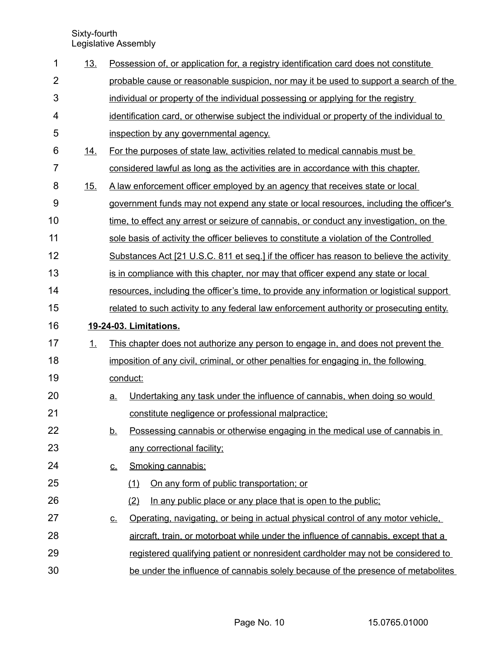| 1              | <u>13.</u> |           |          | Possession of, or application for, a registry identification card does not constitute     |
|----------------|------------|-----------|----------|-------------------------------------------------------------------------------------------|
| $\overline{2}$ |            |           |          | probable cause or reasonable suspicion, nor may it be used to support a search of the     |
| 3              |            |           |          | individual or property of the individual possessing or applying for the registry          |
| 4              |            |           |          | identification card, or otherwise subject the individual or property of the individual to |
| 5              |            |           |          | inspection by any governmental agency.                                                    |
| 6              | <u>14.</u> |           |          | For the purposes of state law, activities related to medical cannabis must be             |
| $\overline{7}$ |            |           |          | considered lawful as long as the activities are in accordance with this chapter.          |
| 8              | 15.        |           |          | A law enforcement officer employed by an agency that receives state or local              |
| 9              |            |           |          | government funds may not expend any state or local resources, including the officer's     |
| 10             |            |           |          | time, to effect any arrest or seizure of cannabis, or conduct any investigation, on the   |
| 11             |            |           |          | sole basis of activity the officer believes to constitute a violation of the Controlled   |
| 12             |            |           |          | Substances Act [21 U.S.C. 811 et seg.] if the officer has reason to believe the activity  |
| 13             |            |           |          | is in compliance with this chapter, nor may that officer expend any state or local        |
| 14             |            |           |          | resources, including the officer's time, to provide any information or logistical support |
| 15             |            |           |          | related to such activity to any federal law enforcement authority or prosecuting entity.  |
|                |            |           |          |                                                                                           |
| 16             |            |           |          | 19-24-03. Limitations.                                                                    |
| 17             | 1.         |           |          | This chapter does not authorize any person to engage in, and does not prevent the         |
| 18             |            |           |          | imposition of any civil, criminal, or other penalties for engaging in, the following      |
| 19             |            |           | conduct: |                                                                                           |
| 20             |            | <u>a.</u> |          | Undertaking any task under the influence of cannabis, when doing so would                 |
| 21             |            |           |          | constitute negligence or professional malpractice;                                        |
| 22             |            | <u>b.</u> |          | Possessing cannabis or otherwise engaging in the medical use of cannabis in               |
| 23             |            |           |          | any correctional facility;                                                                |
| 24             |            | <u>c.</u> |          | Smoking cannabis:                                                                         |
| 25             |            |           | (1)      | On any form of public transportation; or                                                  |
| 26             |            |           | (2)      | In any public place or any place that is open to the public;                              |
| 27             |            | <u>c.</u> |          | Operating, navigating, or being in actual physical control of any motor vehicle.          |
| 28             |            |           |          | aircraft, train, or motorboat while under the influence of cannabis, except that a        |
| 29             |            |           |          | registered qualifying patient or nonresident cardholder may not be considered to          |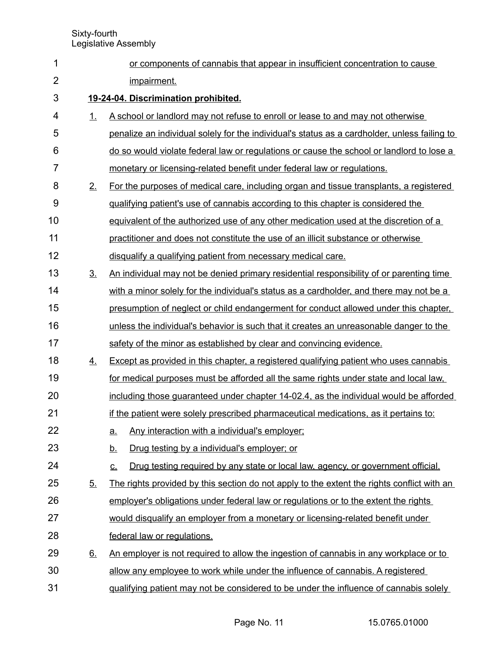| 1              |                | or components of cannabis that appear in insufficient concentration to cause                                   |  |  |  |  |  |
|----------------|----------------|----------------------------------------------------------------------------------------------------------------|--|--|--|--|--|
| $\overline{2}$ | impairment.    |                                                                                                                |  |  |  |  |  |
| 3              |                | 19-24-04. Discrimination prohibited.                                                                           |  |  |  |  |  |
| 4              | 1.             | A school or landlord may not refuse to enroll or lease to and may not otherwise                                |  |  |  |  |  |
| 5              |                | penalize an individual solely for the individual's status as a cardholder, unless failing to                   |  |  |  |  |  |
| 6              |                | do so would violate federal law or regulations or cause the school or landlord to lose a                       |  |  |  |  |  |
| $\overline{7}$ |                | monetary or licensing-related benefit under federal law or regulations.                                        |  |  |  |  |  |
| 8              | 2.             | For the purposes of medical care, including organ and tissue transplants, a registered                         |  |  |  |  |  |
| 9              |                | qualifying patient's use of cannabis according to this chapter is considered the                               |  |  |  |  |  |
| 10             |                | equivalent of the authorized use of any other medication used at the discretion of a                           |  |  |  |  |  |
| 11             |                | practitioner and does not constitute the use of an illicit substance or otherwise                              |  |  |  |  |  |
| 12             |                | disqualify a qualifying patient from necessary medical care.                                                   |  |  |  |  |  |
| 13             | 3 <sub>1</sub> | An individual may not be denied primary residential responsibility of or parenting time                        |  |  |  |  |  |
| 14             |                | with a minor solely for the individual's status as a cardholder, and there may not be a                        |  |  |  |  |  |
| 15             |                | presumption of neglect or child endangerment for conduct allowed under this chapter.                           |  |  |  |  |  |
| 16             |                | unless the individual's behavior is such that it creates an unreasonable danger to the                         |  |  |  |  |  |
| 17             |                | safety of the minor as established by clear and convincing evidence.                                           |  |  |  |  |  |
| 18             | <u>4.</u>      | Except as provided in this chapter, a registered qualifying patient who uses cannabis                          |  |  |  |  |  |
| 19             |                | for medical purposes must be afforded all the same rights under state and local law.                           |  |  |  |  |  |
| 20             |                | including those guaranteed under chapter 14-02.4, as the individual would be afforded                          |  |  |  |  |  |
| 21             |                | if the patient were solely prescribed pharmaceutical medications, as it pertains to:                           |  |  |  |  |  |
| 22             |                | Any interaction with a individual's employer;<br><u>a.</u>                                                     |  |  |  |  |  |
| 23             |                | Drug testing by a individual's employer; or<br><u>b.</u>                                                       |  |  |  |  |  |
| 24             |                | Drug testing required by any state or local law, agency, or government official.<br>$\underline{\mathsf{C}}$ . |  |  |  |  |  |
| 25             | 5.             | The rights provided by this section do not apply to the extent the rights conflict with an                     |  |  |  |  |  |
| 26             |                | employer's obligations under federal law or regulations or to the extent the rights                            |  |  |  |  |  |
| 27             |                | would disqualify an employer from a monetary or licensing-related benefit under                                |  |  |  |  |  |
| 28             |                | federal law or regulations.                                                                                    |  |  |  |  |  |
| 29             | <u>6.</u>      | An employer is not required to allow the ingestion of cannabis in any workplace or to                          |  |  |  |  |  |
| 30             |                | allow any employee to work while under the influence of cannabis. A registered                                 |  |  |  |  |  |
| 31             |                | qualifying patient may not be considered to be under the influence of cannabis solely                          |  |  |  |  |  |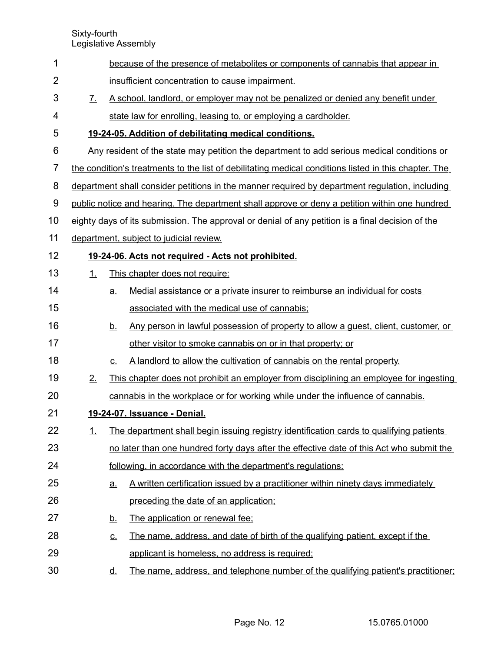| 1              |                   |           | because of the presence of metabolites or components of cannabis that appear in                       |
|----------------|-------------------|-----------|-------------------------------------------------------------------------------------------------------|
| $\overline{2}$ |                   |           | insufficient concentration to cause impairment.                                                       |
| 3              | $\mathcal{I}_{-}$ |           | A school, landlord, or employer may not be penalized or denied any benefit under                      |
| 4              |                   |           | state law for enrolling, leasing to, or employing a cardholder.                                       |
| 5              |                   |           | 19-24-05. Addition of debilitating medical conditions.                                                |
| 6              |                   |           | Any resident of the state may petition the department to add serious medical conditions or            |
| $\overline{7}$ |                   |           | the condition's treatments to the list of debilitating medical conditions listed in this chapter. The |
| 8              |                   |           | department shall consider petitions in the manner required by department regulation, including        |
| 9              |                   |           | public notice and hearing. The department shall approve or deny a petition within one hundred         |
| 10             |                   |           | eighty days of its submission. The approval or denial of any petition is a final decision of the      |
| 11             |                   |           | department, subject to judicial review.                                                               |
| 12             |                   |           | 19-24-06. Acts not required - Acts not prohibited.                                                    |
| 13             | 1.                |           | This chapter does not require:                                                                        |
| 14             |                   | а.        | Medial assistance or a private insurer to reimburse an individual for costs                           |
| 15             |                   |           | associated with the medical use of cannabis;                                                          |
| 16             |                   | <u>b.</u> | <u>Any person in lawful possession of property to allow a quest, client, customer, or</u>             |
| 17             |                   |           | other visitor to smoke cannabis on or in that property; or                                            |
| 18             |                   | C.        | A landlord to allow the cultivation of cannabis on the rental property.                               |
| 19             | 2.                |           | This chapter does not prohibit an employer from disciplining an employee for ingesting                |
| 20             |                   |           | cannabis in the workplace or for working while under the influence of cannabis.                       |
| 21             |                   |           | 19-24-07. Issuance - Denial.                                                                          |
| 22             | 1.                |           | The department shall begin issuing registry identification cards to qualifying patients               |
| 23             |                   |           | no later than one hundred forty days after the effective date of this Act who submit the              |
| 24             |                   |           | following, in accordance with the department's regulations:                                           |
| 25             |                   | a.        | A written certification issued by a practitioner within ninety days immediately                       |
| 26             |                   |           | preceding the date of an application;                                                                 |
| 27             |                   | <u>b.</u> | The application or renewal fee:                                                                       |
| 28             |                   | <u>c.</u> | The name, address, and date of birth of the qualifying patient, except if the                         |
| 29             |                   |           | applicant is homeless, no address is required;                                                        |
| 30             |                   | <u>d.</u> | The name, address, and telephone number of the qualifying patient's practitioner;                     |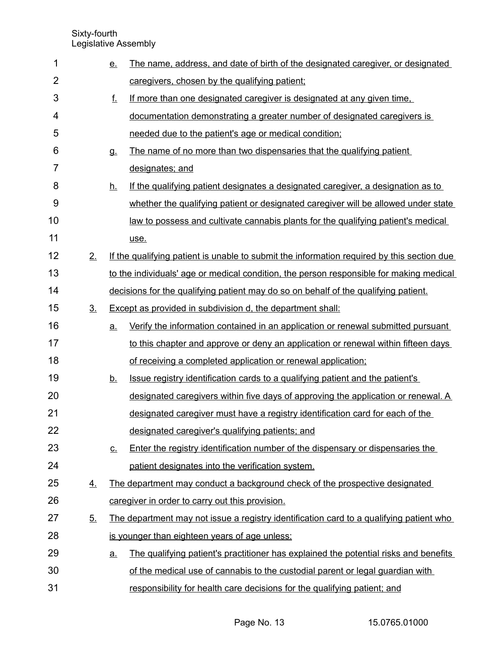| 1              |                | <u>e.</u> | The name, address, and date of birth of the designated caregiver, or designated            |
|----------------|----------------|-----------|--------------------------------------------------------------------------------------------|
| $\overline{2}$ |                |           | caregivers, chosen by the qualifying patient;                                              |
| 3              |                | f.        | If more than one designated caregiver is designated at any given time.                     |
| 4              |                |           | documentation demonstrating a greater number of designated caregivers is                   |
| 5              |                |           | needed due to the patient's age or medical condition;                                      |
| 6              |                | <b>g</b>  | The name of no more than two dispensaries that the qualifying patient                      |
| $\overline{7}$ |                |           | designates; and                                                                            |
| 8              |                | <u>h.</u> | If the qualifying patient designates a designated caregiver, a designation as to           |
| 9              |                |           | whether the qualifying patient or designated caregiver will be allowed under state         |
| 10             |                |           | <u>law to possess and cultivate cannabis plants for the qualifying patient's medical</u>   |
| 11             |                |           | use.                                                                                       |
| 12             | 2.             |           | If the qualifying patient is unable to submit the information required by this section due |
| 13             |                |           | to the individuals' age or medical condition, the person responsible for making medical    |
| 14             |                |           | decisions for the qualifying patient may do so on behalf of the qualifying patient.        |
| 15             | 3 <sub>1</sub> |           | Except as provided in subdivision d, the department shall:                                 |
| 16             |                | a.        | Verify the information contained in an application or renewal submitted pursuant           |
| 17             |                |           | to this chapter and approve or deny an application or renewal within fifteen days          |
| 18             |                |           | of receiving a completed application or renewal application;                               |
| 19             |                | <u>b.</u> | Issue registry identification cards to a qualifying patient and the patient's              |
| 20             |                |           | designated caregivers within five days of approving the application or renewal. A          |
| 21             |                |           | designated caregiver must have a registry identification card for each of the              |
| 22             |                |           | designated caregiver's qualifying patients; and                                            |
| 23             |                | <u>c.</u> | Enter the registry identification number of the dispensary or dispensaries the             |
| 24             |                |           | patient designates into the verification system.                                           |
| 25             | 4.             |           | The department may conduct a background check of the prospective designated                |
| 26             |                |           | caregiver in order to carry out this provision.                                            |
| 27             | 5.             |           | The department may not issue a registry identification card to a qualifying patient who    |
| 28             |                |           | is younger than eighteen years of age unless:                                              |
| 29             |                | <u>a.</u> | The qualifying patient's practitioner has explained the potential risks and benefits       |
| 30             |                |           | of the medical use of cannabis to the custodial parent or legal guardian with              |
| 31             |                |           | responsibility for health care decisions for the qualifying patient; and                   |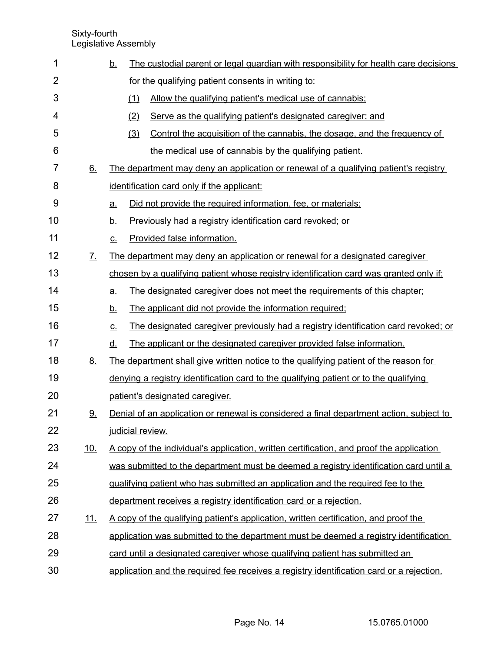| 1              |                       | <u>b.</u>         | The custodial parent or legal guardian with responsibility for health care decisions     |
|----------------|-----------------------|-------------------|------------------------------------------------------------------------------------------|
| $\overline{2}$ |                       |                   | for the qualifying patient consents in writing to:                                       |
| 3              |                       | (1)               | Allow the qualifying patient's medical use of cannabis;                                  |
| 4              |                       | (2)               | Serve as the qualifying patient's designated caregiver; and                              |
| 5              |                       | (3)               | Control the acquisition of the cannabis, the dosage, and the frequency of                |
| 6              |                       |                   | the medical use of cannabis by the qualifying patient.                                   |
| $\overline{7}$ | 6.                    |                   | The department may deny an application or renewal of a qualifying patient's registry     |
| 8              |                       |                   | identification card only if the applicant:                                               |
| 9              |                       | <u>a.</u>         | Did not provide the required information, fee, or materials;                             |
| 10             |                       | <u>b.</u>         | Previously had a registry identification card revoked; or                                |
| 11             |                       | $C_{\cdot}$       | Provided false information.                                                              |
| 12             | $\mathcal{I}_{\cdot}$ |                   | The department may deny an application or renewal for a designated caregiver             |
| 13             |                       |                   | chosen by a qualifying patient whose registry identification card was granted only if:   |
| 14             |                       | $\underline{a}$ . | The designated caregiver does not meet the requirements of this chapter;                 |
| 15             |                       | <u>b.</u>         | The applicant did not provide the information required;                                  |
| 16             |                       | <u>c.</u>         | The designated caregiver previously had a registry identification card revoked; or       |
| 17             |                       | <u>d.</u>         | The applicant or the designated caregiver provided false information.                    |
| 18             | 8.                    |                   | The department shall give written notice to the qualifying patient of the reason for     |
| 19             |                       |                   | denying a registry identification card to the qualifying patient or to the qualifying    |
| 20             |                       |                   | patient's designated caregiver.                                                          |
| 21             | 9.                    |                   | Denial of an application or renewal is considered a final department action, subject to  |
| 22             |                       |                   | judicial review.                                                                         |
| 23             | 10.                   |                   | A copy of the individual's application, written certification, and proof the application |
| 24             |                       |                   | was submitted to the department must be deemed a registry identification card until a    |
| 25             |                       |                   | gualifying patient who has submitted an application and the required fee to the          |
| 26             |                       |                   | department receives a registry identification card or a rejection.                       |
| 27             | <u>11.</u>            |                   | A copy of the qualifying patient's application, written certification, and proof the     |
| 28             |                       |                   | application was submitted to the department must be deemed a registry identification     |
| 29             |                       |                   | card until a designated caregiver whose qualifying patient has submitted an              |
| 30             |                       |                   | application and the required fee receives a registry identification card or a rejection. |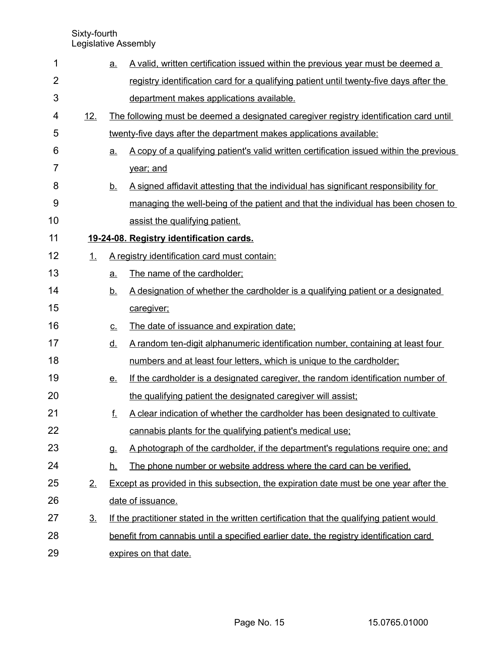| 1  |                | <u>a.</u>         | A valid, written certification issued within the previous year must be deemed a              |
|----|----------------|-------------------|----------------------------------------------------------------------------------------------|
| 2  |                |                   | registry identification card for a qualifying patient until twenty-five days after the       |
| 3  |                |                   | department makes applications available.                                                     |
| 4  | 12.            |                   | The following must be deemed a designated caregiver registry identification card until       |
| 5  |                |                   | twenty-five days after the department makes applications available:                          |
| 6  |                | <u>a.</u>         | A copy of a qualifying patient's valid written certification issued within the previous      |
| 7  |                |                   | year; and                                                                                    |
| 8  |                | <u>b.</u>         | A signed affidavit attesting that the individual has significant responsibility for          |
| 9  |                |                   | managing the well-being of the patient and that the individual has been chosen to            |
| 10 |                |                   | assist the qualifying patient.                                                               |
| 11 |                |                   | 19-24-08. Registry identification cards.                                                     |
| 12 | 1.             |                   | A registry identification card must contain:                                                 |
| 13 |                | a.                | The name of the cardholder;                                                                  |
| 14 |                | <u>b.</u>         | A designation of whether the cardholder is a qualifying patient or a designated              |
| 15 |                |                   | caregiver;                                                                                   |
| 16 |                | $\underline{C}$ . | The date of issuance and expiration date;                                                    |
| 17 |                | <u>d.</u>         | A random ten-digit alphanumeric identification number, containing at least four              |
| 18 |                |                   | numbers and at least four letters, which is unique to the cardholder;                        |
| 19 |                | <u>e.</u>         | If the cardholder is a designated caregiver, the random identification number of             |
| 20 |                |                   | the qualifying patient the designated caregiver will assist;                                 |
| 21 |                | f.                | A clear indication of whether the cardholder has been designated to cultivate                |
| 22 |                |                   | cannabis plants for the qualifying patient's medical use;                                    |
| 23 |                | g.                | A photograph of the cardholder, if the department's regulations require one; and             |
| 24 |                | <u>h.</u>         | The phone number or website address where the card can be verified.                          |
| 25 | 2.             |                   | <b>Except as provided in this subsection, the expiration date must be one year after the</b> |
| 26 |                |                   | date of issuance.                                                                            |
| 27 | 3 <sub>1</sub> |                   | If the practitioner stated in the written certification that the qualifying patient would    |
| 28 |                |                   | benefit from cannabis until a specified earlier date, the registry identification card       |
| 29 |                |                   | expires on that date.                                                                        |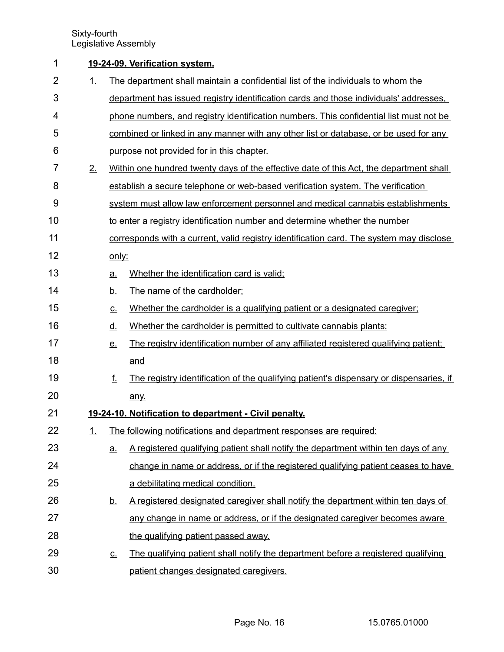| 1              |         |                   | 19-24-09. Verification system.                                                          |
|----------------|---------|-------------------|-----------------------------------------------------------------------------------------|
| $\overline{2}$ | 1       |                   | The department shall maintain a confidential list of the individuals to whom the        |
| 3              |         |                   | department has issued registry identification cards and those individuals' addresses.   |
| 4              |         |                   | phone numbers, and registry identification numbers. This confidential list must not be  |
| 5              |         |                   | combined or linked in any manner with any other list or database, or be used for any    |
| 6              |         |                   | purpose not provided for in this chapter.                                               |
| 7              | $2_{-}$ |                   | Within one hundred twenty days of the effective date of this Act, the department shall  |
| 8              |         |                   | establish a secure telephone or web-based verification system. The verification         |
| 9              |         |                   | system must allow law enforcement personnel and medical cannabis establishments         |
| 10             |         |                   | to enter a registry identification number and determine whether the number              |
| 11             |         |                   | corresponds with a current, valid registry identification card. The system may disclose |
| 12             |         | only:             |                                                                                         |
| 13             |         | a.                | Whether the identification card is valid;                                               |
| 14             |         | <u>b.</u>         | The name of the cardholder;                                                             |
| 15             |         | $\underline{C}$ . | Whether the cardholder is a qualifying patient or a designated caregiver;               |
| 16             |         | <u>d.</u>         | Whether the cardholder is permitted to cultivate cannabis plants;                       |
| 17             |         | <u>e.</u>         | The registry identification number of any affiliated registered qualifying patient;     |
| 18             |         |                   | and                                                                                     |
| 19             |         | f.                | The registry identification of the qualifying patient's dispensary or dispensaries, if  |
| 20             |         |                   | any.                                                                                    |
| 21             |         |                   | 19-24-10. Notification to department - Civil penalty.                                   |
| 22             | 1.      |                   | The following notifications and department responses are required:                      |
| 23             |         | <u>a.</u>         | A registered qualifying patient shall notify the department within ten days of any      |
| 24             |         |                   | change in name or address, or if the registered qualifying patient ceases to have       |
| 25             |         |                   | a debilitating medical condition.                                                       |
| 26             |         | <u>b.</u>         | A registered designated caregiver shall notify the department within ten days of        |
| 27             |         |                   | any change in name or address, or if the designated caregiver becomes aware             |
| 28             |         |                   | the qualifying patient passed away.                                                     |
| 29             |         | <u>c.</u>         | The qualifying patient shall notify the department before a registered qualifying       |
| 30             |         |                   | patient changes designated caregivers.                                                  |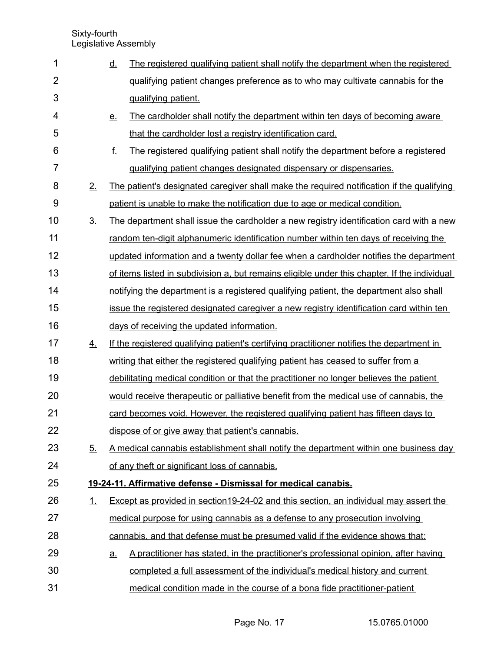| 1              |                | <u>d.</u> | The registered qualifying patient shall notify the department when the registered            |
|----------------|----------------|-----------|----------------------------------------------------------------------------------------------|
| $\overline{2}$ |                |           | gualifying patient changes preference as to who may cultivate cannabis for the               |
| 3              |                |           | qualifying patient.                                                                          |
| 4              |                | <u>e.</u> | The cardholder shall notify the department within ten days of becoming aware                 |
| 5              |                |           | that the cardholder lost a registry identification card.                                     |
| 6              |                | f.        | The registered qualifying patient shall notify the department before a registered            |
| $\overline{7}$ |                |           | qualifying patient changes designated dispensary or dispensaries.                            |
| 8              | 2.             |           | The patient's designated caregiver shall make the required notification if the qualifying    |
| 9              |                |           | patient is unable to make the notification due to age or medical condition.                  |
| 10             | 3 <sub>1</sub> |           | The department shall issue the cardholder a new registry identification card with a new      |
| 11             |                |           | random ten-digit alphanumeric identification number within ten days of receiving the         |
| 12             |                |           | updated information and a twenty dollar fee when a cardholder notifies the department        |
| 13             |                |           | of items listed in subdivision a, but remains eligible under this chapter. If the individual |
| 14             |                |           | notifying the department is a registered qualifying patient, the department also shall       |
| 15             |                |           | issue the registered designated caregiver a new registry identification card within ten      |
| 16             |                |           | days of receiving the updated information.                                                   |
| 17             | 4.             |           | If the registered qualifying patient's certifying practitioner notifies the department in    |
| 18             |                |           | writing that either the registered qualifying patient has ceased to suffer from a            |
| 19             |                |           | debilitating medical condition or that the practitioner no longer believes the patient       |
| 20             |                |           | would receive therapeutic or palliative benefit from the medical use of cannabis, the        |
| 21             |                |           | card becomes void. However, the registered qualifying patient has fifteen days to            |
| 22             |                |           | dispose of or give away that patient's cannabis.                                             |
| 23             | 5.             |           | A medical cannabis establishment shall notify the department within one business day         |
| 24             |                |           | of any theft or significant loss of cannabis.                                                |
| 25             |                |           | 19-24-11. Affirmative defense - Dismissal for medical canabis.                               |
| 26             | 1.             |           | Except as provided in section 19-24-02 and this section, an individual may assert the        |
| 27             |                |           | medical purpose for using cannabis as a defense to any prosecution involving                 |
| 28             |                |           | cannabis, and that defense must be presumed valid if the evidence shows that:                |
| 29             |                | <u>a.</u> | A practitioner has stated, in the practitioner's professional opinion, after having          |
| 30             |                |           | completed a full assessment of the individual's medical history and current                  |
| 31             |                |           | medical condition made in the course of a bona fide practitioner-patient                     |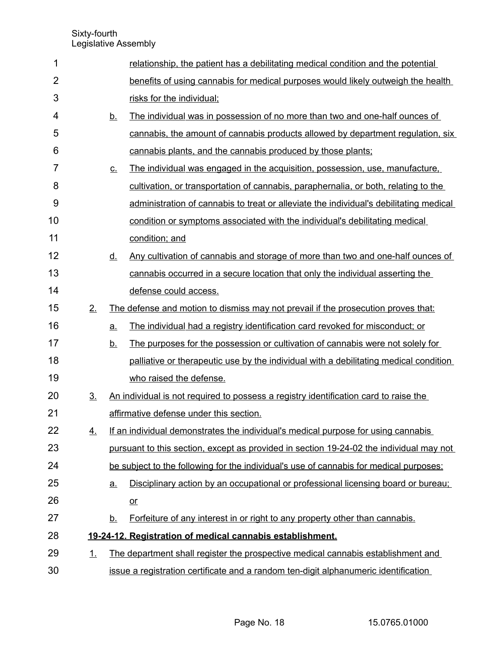| 1              |                |           | relationship, the patient has a debilitating medical condition and the potential        |
|----------------|----------------|-----------|-----------------------------------------------------------------------------------------|
| $\overline{2}$ |                |           | benefits of using cannabis for medical purposes would likely outweigh the health        |
| 3              |                |           | risks for the individual;                                                               |
| 4              |                | <u>b.</u> | The individual was in possession of no more than two and one-half ounces of             |
| 5              |                |           | cannabis, the amount of cannabis products allowed by department regulation, six         |
| 6              |                |           | cannabis plants, and the cannabis produced by those plants;                             |
| 7              |                | <u>c.</u> | The individual was engaged in the acquisition, possession, use, manufacture,            |
| 8              |                |           | cultivation, or transportation of cannabis, paraphernalia, or both, relating to the     |
| 9              |                |           | administration of cannabis to treat or alleviate the individual's debilitating medical  |
| 10             |                |           | condition or symptoms associated with the individual's debilitating medical             |
| 11             |                |           | condition; and                                                                          |
| 12             |                | <u>d.</u> | Any cultivation of cannabis and storage of more than two and one-half ounces of         |
| 13             |                |           | cannabis occurred in a secure location that only the individual asserting the           |
| 14             |                |           | defense could access.                                                                   |
| 15             | 2.             |           | The defense and motion to dismiss may not prevail if the prosecution proves that:       |
| 16             |                | a.        | The individual had a registry identification card revoked for misconduct; or            |
| 17             |                | <u>b.</u> | The purposes for the possession or cultivation of cannabis were not solely for          |
| 18             |                |           | palliative or therapeutic use by the individual with a debilitating medical condition   |
| 19             |                |           | who raised the defense.                                                                 |
| 20             | 3 <sub>1</sub> |           | An individual is not required to possess a registry identification card to raise the    |
| 21             |                |           | affirmative defense under this section.                                                 |
| 22             | 4.             |           | If an individual demonstrates the individual's medical purpose for using cannabis       |
| 23             |                |           | pursuant to this section, except as provided in section 19-24-02 the individual may not |
| 24             |                |           | be subject to the following for the individual's use of cannabis for medical purposes:  |
| 25             |                | <u>a.</u> | Disciplinary action by an occupational or professional licensing board or bureau;       |
| 26             |                |           | $or$                                                                                    |
| 27             |                | <u>b.</u> | Forfeiture of any interest in or right to any property other than cannabis.             |
| 28             |                |           | 19-24-12. Registration of medical cannabis establishment.                               |
| 29             | <u>1.</u>      |           | The department shall register the prospective medical cannabis establishment and        |
| 30             |                |           | issue a registration certificate and a random ten-digit alphanumeric identification     |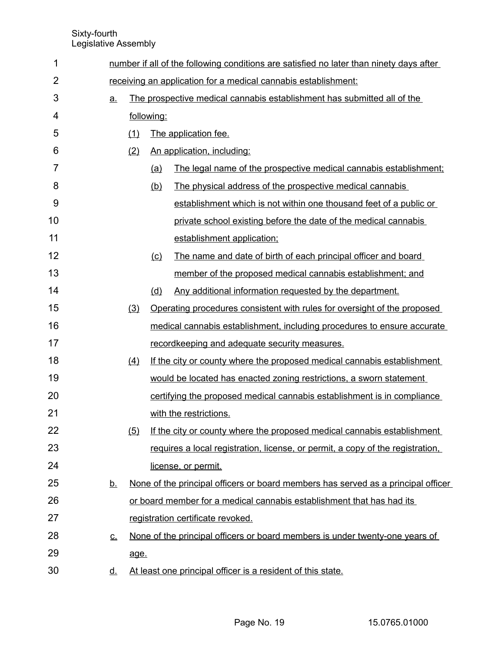| 1              |                            |                                                                |            | number if all of the following conditions are satisfied no later than ninety days after |  |  |
|----------------|----------------------------|----------------------------------------------------------------|------------|-----------------------------------------------------------------------------------------|--|--|
| $\overline{2}$ |                            | receiving an application for a medical cannabis establishment: |            |                                                                                         |  |  |
| 3              | <u>a.</u>                  |                                                                |            | The prospective medical cannabis establishment has submitted all of the                 |  |  |
| 4              |                            |                                                                | following: |                                                                                         |  |  |
| 5              |                            | (1)                                                            |            | The application fee.                                                                    |  |  |
| 6              |                            | (2)                                                            |            | An application, including:                                                              |  |  |
| 7              |                            |                                                                | <u>(a)</u> | The legal name of the prospective medical cannabis establishment;                       |  |  |
| 8              |                            |                                                                | (b)        | The physical address of the prospective medical cannabis                                |  |  |
| 9              |                            |                                                                |            | establishment which is not within one thousand feet of a public or                      |  |  |
| 10             |                            |                                                                |            | private school existing before the date of the medical cannabis                         |  |  |
| 11             |                            |                                                                |            | establishment application;                                                              |  |  |
| 12             |                            |                                                                | (c)        | The name and date of birth of each principal officer and board                          |  |  |
| 13             |                            |                                                                |            | member of the proposed medical cannabis establishment; and                              |  |  |
| 14             |                            |                                                                | (d)        | Any additional information requested by the department.                                 |  |  |
| 15             |                            | (3)                                                            |            | Operating procedures consistent with rules for oversight of the proposed                |  |  |
| 16             |                            |                                                                |            | medical cannabis establishment, including procedures to ensure accurate                 |  |  |
| 17             |                            |                                                                |            | recordkeeping and adequate security measures.                                           |  |  |
| 18             |                            | (4)                                                            |            | If the city or county where the proposed medical cannabis establishment                 |  |  |
| 19             |                            |                                                                |            | would be located has enacted zoning restrictions, a sworn statement                     |  |  |
| 20             |                            |                                                                |            | certifying the proposed medical cannabis establishment is in compliance                 |  |  |
| 21             |                            |                                                                |            | with the restrictions.                                                                  |  |  |
| 22             |                            | (5)                                                            |            | If the city or county where the proposed medical cannabis establishment                 |  |  |
| 23             |                            |                                                                |            | requires a local registration, license, or permit, a copy of the registration,          |  |  |
| 24             |                            |                                                                |            | license, or permit.                                                                     |  |  |
| 25             | <u>b.</u>                  |                                                                |            | None of the principal officers or board members has served as a principal officer       |  |  |
| 26             |                            |                                                                |            | or board member for a medical cannabis establishment that has had its                   |  |  |
| 27             |                            |                                                                |            | registration certificate revoked.                                                       |  |  |
| 28             | $\underline{\mathbf{C}}$ . |                                                                |            | None of the principal officers or board members is under twenty-one years of            |  |  |
| 29             |                            | age.                                                           |            |                                                                                         |  |  |
| 30             | <u>d.</u>                  |                                                                |            | At least one principal officer is a resident of this state.                             |  |  |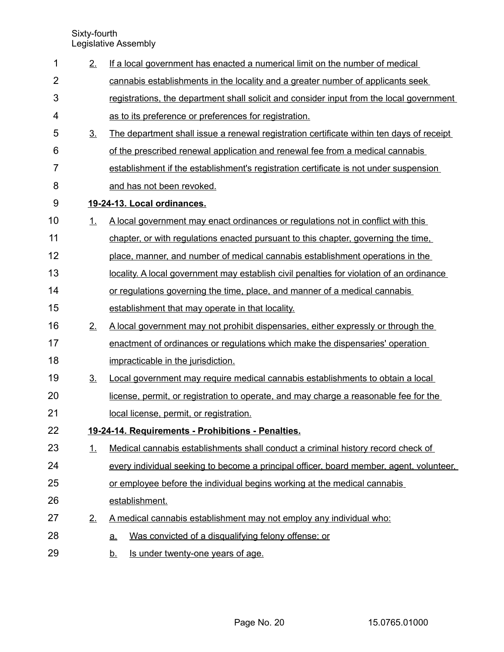| 1              | 2.             | If a local government has enacted a numerical limit on the number of medical             |
|----------------|----------------|------------------------------------------------------------------------------------------|
| $\overline{2}$ |                | cannabis establishments in the locality and a greater number of applicants seek          |
| 3              |                | registrations, the department shall solicit and consider input from the local government |
| 4              |                | as to its preference or preferences for registration.                                    |
| 5              | 3 <sub>1</sub> | The department shall issue a renewal registration certificate within ten days of receipt |
| 6              |                | of the prescribed renewal application and renewal fee from a medical cannabis            |
| 7              |                | establishment if the establishment's registration certificate is not under suspension    |
| 8              |                | and has not been revoked.                                                                |
| 9              |                | 19-24-13. Local ordinances.                                                              |
| 10             | 1.             | A local government may enact ordinances or regulations not in conflict with this         |
| 11             |                | chapter, or with regulations enacted pursuant to this chapter, governing the time.       |
| 12             |                | place, manner, and number of medical cannabis establishment operations in the            |
| 13             |                | locality. A local government may establish civil penalties for violation of an ordinance |
| 14             |                | or regulations governing the time, place, and manner of a medical cannabis               |
| 15             |                | establishment that may operate in that locality.                                         |
| 16             | 2.             | A local government may not prohibit dispensaries, either expressly or through the        |
| 17             |                | enactment of ordinances or regulations which make the dispensaries' operation            |
| 18             |                | impracticable in the jurisdiction.                                                       |
| 19             | 3 <sub>1</sub> | Local government may require medical cannabis establishments to obtain a local           |
| 20             |                | license, permit, or registration to operate, and may charge a reasonable fee for the     |
| 21             |                | local license, permit, or registration.                                                  |
| 22             |                | 19-24-14. Requirements - Prohibitions - Penalties.                                       |
| 23             | 1.             | Medical cannabis establishments shall conduct a criminal history record check of         |
| 24             |                | every individual seeking to become a principal officer, board member, agent, volunteer,  |
| 25             |                | or employee before the individual begins working at the medical cannabis                 |
| 26             |                | establishment.                                                                           |
| 27             | 2.             | A medical cannabis establishment may not employ any individual who:                      |
| 28             |                | Was convicted of a disqualifying felony offense; or<br><u>a.</u>                         |
| 29             |                | Is under twenty-one years of age.<br><u>b.</u>                                           |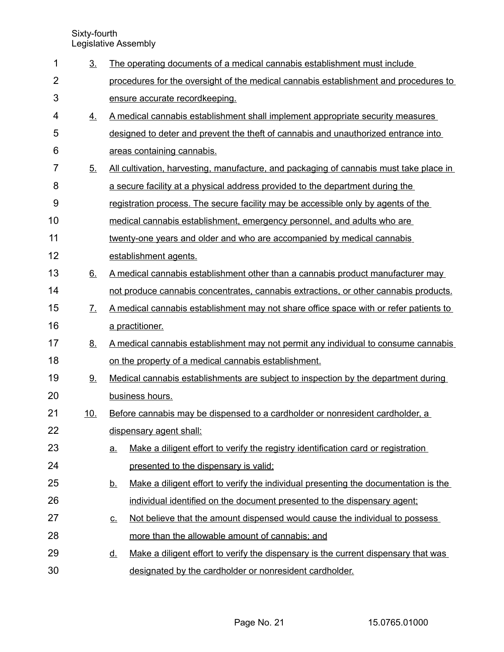| 1              | 3 <sub>1</sub>    | The operating documents of a medical cannabis establishment must include                         |
|----------------|-------------------|--------------------------------------------------------------------------------------------------|
| $\overline{2}$ |                   | procedures for the oversight of the medical cannabis establishment and procedures to             |
| 3              |                   | ensure accurate recordkeeping.                                                                   |
| 4              | 4.                | A medical cannabis establishment shall implement appropriate security measures                   |
| 5              |                   | designed to deter and prevent the theft of cannabis and unauthorized entrance into               |
| 6              |                   | areas containing cannabis.                                                                       |
| $\overline{7}$ | 5 <sub>1</sub>    | All cultivation, harvesting, manufacture, and packaging of cannabis must take place in           |
| 8              |                   | a secure facility at a physical address provided to the department during the                    |
| 9              |                   | registration process. The secure facility may be accessible only by agents of the                |
| 10             |                   | medical cannabis establishment, emergency personnel, and adults who are                          |
| 11             |                   | twenty-one years and older and who are accompanied by medical cannabis                           |
| 12             |                   | establishment agents.                                                                            |
| 13             | 6.                | A medical cannabis establishment other than a cannabis product manufacturer may                  |
| 14             |                   | not produce cannabis concentrates, cannabis extractions, or other cannabis products.             |
| 15             | $\mathcal{I}_{-}$ | A medical cannabis establishment may not share office space with or refer patients to            |
| 16             |                   | a practitioner.                                                                                  |
| 17             | <u>8.</u>         | A medical cannabis establishment may not permit any individual to consume cannabis               |
| 18             |                   | on the property of a medical cannabis establishment.                                             |
| 19             | 9.                | Medical cannabis establishments are subject to inspection by the department during               |
| 20             |                   | business hours.                                                                                  |
| 21             | <u>10.</u>        | Before cannabis may be dispensed to a cardholder or nonresident cardholder, a                    |
| 22             |                   | dispensary agent shall:                                                                          |
| 23             |                   | Make a diligent effort to verify the registry identification card or registration<br><u>a.</u>   |
| 24             |                   | presented to the dispensary is valid;                                                            |
| 25             |                   | Make a diligent effort to verify the individual presenting the documentation is the<br><u>b.</u> |
| 26             |                   | individual identified on the document presented to the dispensary agent;                         |
| 27             |                   | Not believe that the amount dispensed would cause the individual to possess<br><u>c.</u>         |
| 28             |                   | more than the allowable amount of cannabis; and                                                  |
| 29             |                   | Make a diligent effort to verify the dispensary is the current dispensary that was<br><u>d.</u>  |
| 30             |                   | designated by the cardholder or nonresident cardholder.                                          |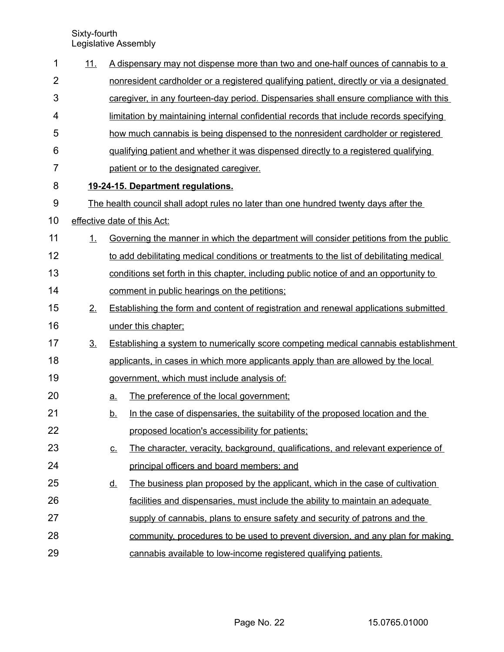| 1              | <u>11.</u>     |           | A dispensary may not dispense more than two and one-half ounces of cannabis to a            |
|----------------|----------------|-----------|---------------------------------------------------------------------------------------------|
| $\overline{2}$ |                |           | nonresident cardholder or a registered qualifying patient, directly or via a designated     |
| 3              |                |           | caregiver, in any fourteen-day period. Dispensaries shall ensure compliance with this       |
| 4              |                |           | limitation by maintaining internal confidential records that include records specifying     |
| 5              |                |           | how much cannabis is being dispensed to the nonresident cardholder or registered            |
| 6              |                |           | qualifying patient and whether it was dispensed directly to a registered qualifying         |
| 7              |                |           | patient or to the designated caregiver.                                                     |
| 8              |                |           | 19-24-15. Department regulations.                                                           |
| $9\,$          |                |           | The health council shall adopt rules no later than one hundred twenty days after the        |
| 10             |                |           | effective date of this Act:                                                                 |
| 11             | 1              |           | Governing the manner in which the department will consider petitions from the public        |
| 12             |                |           | to add debilitating medical conditions or treatments to the list of debilitating medical    |
| 13             |                |           | conditions set forth in this chapter, including public notice of and an opportunity to      |
| 14             |                |           | comment in public hearings on the petitions;                                                |
| 15             | 2.             |           | <b>Establishing the form and content of registration and renewal applications submitted</b> |
| 16             |                |           | under this chapter;                                                                         |
| 17             | 3 <sub>1</sub> |           | <b>Establishing a system to numerically score competing medical cannabis establishment</b>  |
| 18             |                |           | applicants, in cases in which more applicants apply than are allowed by the local           |
| 19             |                |           | government, which must include analysis of:                                                 |
| 20             |                | a.        | The preference of the local government;                                                     |
| 21             |                | <u>b.</u> | In the case of dispensaries, the suitability of the proposed location and the               |
| 22             |                |           | proposed location's accessibility for patients;                                             |
| 23             |                | <u>c.</u> | The character, veracity, background, qualifications, and relevant experience of             |
| 24             |                |           | principal officers and board members; and                                                   |
| 25             |                | <u>d.</u> | The business plan proposed by the applicant, which in the case of cultivation               |
| 26             |                |           | facilities and dispensaries, must include the ability to maintain an adequate               |
| 27             |                |           | supply of cannabis, plans to ensure safety and security of patrons and the                  |
| 28             |                |           | community, procedures to be used to prevent diversion, and any plan for making              |
| 29             |                |           | cannabis available to low-income registered qualifying patients.                            |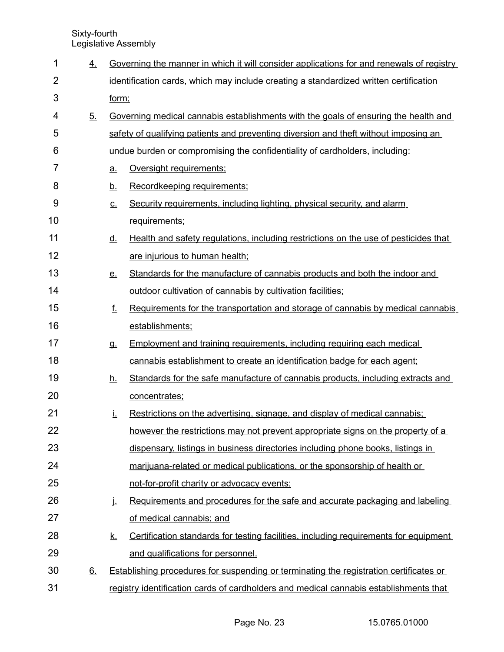| 1              | 4.        |           | Governing the manner in which it will consider applications for and renewals of registry      |
|----------------|-----------|-----------|-----------------------------------------------------------------------------------------------|
| $\overline{2}$ |           |           | identification cards, which may include creating a standardized written certification         |
| 3              |           | form;     |                                                                                               |
| 4              | 5.        |           | <u>Governing medical cannabis establishments with the goals of ensuring the health and</u>    |
| 5              |           |           | safety of qualifying patients and preventing diversion and theft without imposing an          |
| 6              |           |           | undue burden or compromising the confidentiality of cardholders, including:                   |
| 7              |           | <u>a.</u> | Oversight requirements;                                                                       |
| 8              |           | <u>b.</u> | Recordkeeping requirements;                                                                   |
| 9              |           | <u>c.</u> | Security requirements, including lighting, physical security, and alarm                       |
| 10             |           |           | requirements;                                                                                 |
| 11             |           | <u>d.</u> | Health and safety regulations, including restrictions on the use of pesticides that           |
| 12             |           |           | are injurious to human health;                                                                |
| 13             |           | <u>e.</u> | Standards for the manufacture of cannabis products and both the indoor and                    |
| 14             |           |           | outdoor cultivation of cannabis by cultivation facilities;                                    |
| 15             |           | f.        | Requirements for the transportation and storage of cannabis by medical cannabis               |
| 16             |           |           | establishments;                                                                               |
| 17             |           | g.        | <b>Employment and training requirements, including requiring each medical</b>                 |
| 18             |           |           | cannabis establishment to create an identification badge for each agent;                      |
| 19             |           | <u>h.</u> | Standards for the safe manufacture of cannabis products, including extracts and               |
| 20             |           |           | concentrates;                                                                                 |
| 21             |           | Ĺ.        | Restrictions on the advertising, signage, and display of medical cannabis;                    |
| 22             |           |           | however the restrictions may not prevent appropriate signs on the property of a               |
| 23             |           |           | dispensary, listings in business directories including phone books, listings in               |
| 24             |           |           | marijuana-related or medical publications, or the sponsorship of health or                    |
| 25             |           |           | not-for-profit charity or advocacy events;                                                    |
| 26             |           | į.        | Requirements and procedures for the safe and accurate packaging and labeling                  |
| 27             |           |           | of medical cannabis; and                                                                      |
| 28             |           | <u>k.</u> | Certification standards for testing facilities, including requirements for equipment          |
| 29             |           |           | and qualifications for personnel.                                                             |
| 30             | <u>6.</u> |           | <b>Establishing procedures for suspending or terminating the registration certificates or</b> |
| 31             |           |           | registry identification cards of cardholders and medical cannabis establishments that         |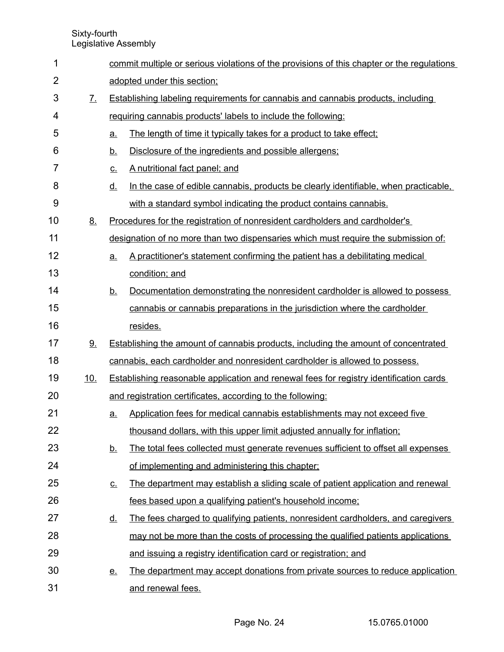| 1              |                             |           | commit multiple or serious violations of the provisions of this chapter or the regulations    |
|----------------|-----------------------------|-----------|-----------------------------------------------------------------------------------------------|
| $\overline{2}$ |                             |           | adopted under this section;                                                                   |
| 3              | $\underline{\mathcal{I}}$ . |           | Establishing labeling requirements for cannabis and cannabis products, including              |
| 4              |                             |           | requiring cannabis products' labels to include the following:                                 |
| 5              |                             | a.        | The length of time it typically takes for a product to take effect:                           |
| 6              |                             | <u>b.</u> | Disclosure of the ingredients and possible allergens;                                         |
| 7              |                             | <u>c.</u> | A nutritional fact panel; and                                                                 |
| 8              |                             | <u>d.</u> | In the case of edible cannabis, products be clearly identifiable, when practicable,           |
| 9              |                             |           | with a standard symbol indicating the product contains cannabis.                              |
| 10             | 8.                          |           | Procedures for the registration of nonresident cardholders and cardholder's                   |
| 11             |                             |           | designation of no more than two dispensaries which must require the submission of:            |
| 12             |                             | a.        | A practitioner's statement confirming the patient has a debilitating medical                  |
| 13             |                             |           | condition; and                                                                                |
| 14             |                             | <u>b.</u> | Documentation demonstrating the nonresident cardholder is allowed to possess                  |
| 15             |                             |           | cannabis or cannabis preparations in the jurisdiction where the cardholder                    |
| 16             |                             |           | resides.                                                                                      |
| 17             | $9$ .                       |           | <b>Establishing the amount of cannabis products, including the amount of concentrated</b>     |
| 18             |                             |           | cannabis, each cardholder and nonresident cardholder is allowed to possess.                   |
| 19             | <u>10.</u>                  |           | <b>Establishing reasonable application and renewal fees for registry identification cards</b> |
| 20             |                             |           | and registration certificates, according to the following:                                    |
| 21             |                             | <u>a.</u> | Application fees for medical cannabis establishments may not exceed five                      |
| 22             |                             |           | thousand dollars, with this upper limit adjusted annually for inflation;                      |
| 23             |                             | <u>b.</u> | The total fees collected must generate revenues sufficient to offset all expenses             |
| 24             |                             |           | of implementing and administering this chapter;                                               |
| 25             |                             | <u>c.</u> | The department may establish a sliding scale of patient application and renewal               |
| 26             |                             |           | fees based upon a qualifying patient's household income;                                      |
| 27             |                             | <u>d.</u> | The fees charged to qualifying patients, nonresident cardholders, and caregivers              |
| 28             |                             |           | may not be more than the costs of processing the qualified patients applications              |
| 29             |                             |           | and issuing a registry identification card or registration; and                               |
| 30             |                             | <u>e.</u> | The department may accept donations from private sources to reduce application                |
| 31             |                             |           | and renewal fees.                                                                             |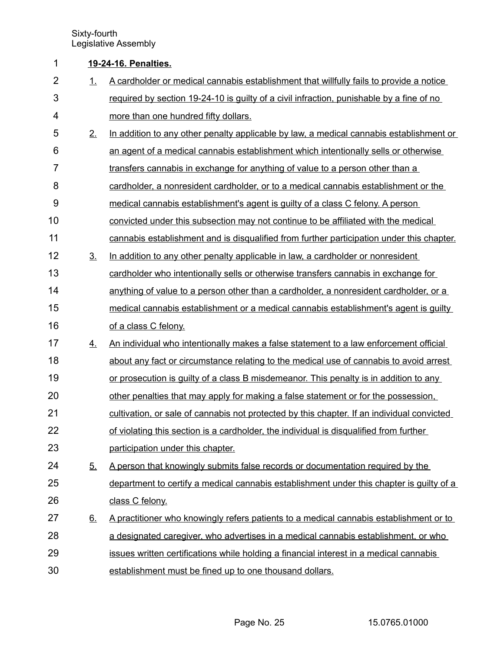## **19 - 24 - 16. Penalties.** 1

| $\overline{2}$ | 1.                | A cardholder or medical cannabis establishment that willfully fails to provide a notice    |
|----------------|-------------------|--------------------------------------------------------------------------------------------|
| 3              |                   | required by section 19-24-10 is guilty of a civil infraction, punishable by a fine of no   |
| 4              |                   | more than one hundred fifty dollars.                                                       |
| 5              | 2.                | In addition to any other penalty applicable by law, a medical cannabis establishment or    |
| 6              |                   | an agent of a medical cannabis establishment which intentionally sells or otherwise        |
| $\overline{7}$ |                   | transfers cannabis in exchange for anything of value to a person other than a              |
| 8              |                   | cardholder, a nonresident cardholder, or to a medical cannabis establishment or the        |
| 9              |                   | medical cannabis establishment's agent is guilty of a class C felony. A person             |
| 10             |                   | convicted under this subsection may not continue to be affiliated with the medical         |
| 11             |                   | cannabis establishment and is disqualified from further participation under this chapter.  |
| 12             | $\underline{3}$ . | In addition to any other penalty applicable in law, a cardholder or nonresident            |
| 13             |                   | cardholder who intentionally sells or otherwise transfers cannabis in exchange for         |
| 14             |                   | anything of value to a person other than a cardholder, a nonresident cardholder, or a      |
| 15             |                   | medical cannabis establishment or a medical cannabis establishment's agent is quilty       |
| 16             |                   | of a class C felony.                                                                       |
| 17             | 4.                | An individual who intentionally makes a false statement to a law enforcement official      |
| 18             |                   | about any fact or circumstance relating to the medical use of cannabis to avoid arrest     |
| 19             |                   | or prosecution is guilty of a class B misdemeanor. This penalty is in addition to any      |
| 20             |                   | other penalties that may apply for making a false statement or for the possession.         |
| 21             |                   | cultivation, or sale of cannabis not protected by this chapter. If an individual convicted |
| 22             |                   | of violating this section is a cardholder, the individual is disqualified from further     |
| 23             |                   | participation under this chapter.                                                          |
| 24             | 5.                | A person that knowingly submits false records or documentation required by the             |
| 25             |                   | department to certify a medical cannabis establishment under this chapter is quilty of a   |
| 26             |                   | class C felony.                                                                            |
| 27             | <u>6.</u>         | A practitioner who knowingly refers patients to a medical cannabis establishment or to     |
| 28             |                   | a designated caregiver, who advertises in a medical cannabis establishment, or who         |
| 29             |                   | issues written certifications while holding a financial interest in a medical cannabis     |
| 30             |                   | establishment must be fined up to one thousand dollars.                                    |

Page No. 25 15.0765.01000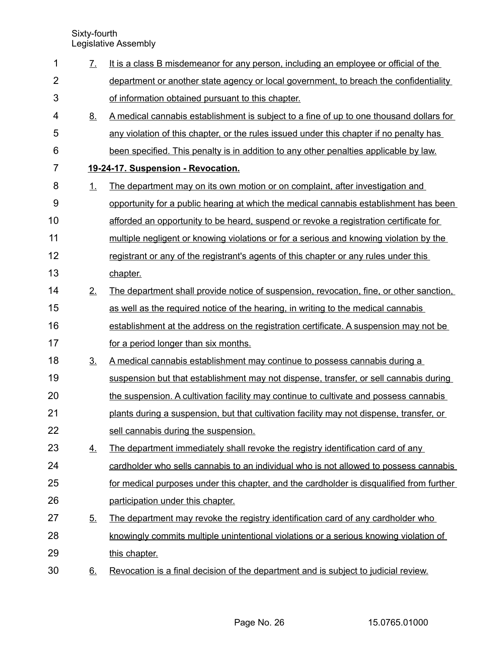| 1              | $\mathcal{I}_{\cdot}$ | It is a class B misdemeanor for any person, including an employee or official of the     |
|----------------|-----------------------|------------------------------------------------------------------------------------------|
| $\overline{2}$ |                       | department or another state agency or local government, to breach the confidentiality    |
| 3              |                       | of information obtained pursuant to this chapter.                                        |
| 4              | <u>8.</u>             | A medical cannabis establishment is subject to a fine of up to one thousand dollars for  |
| 5              |                       | any violation of this chapter, or the rules issued under this chapter if no penalty has  |
| 6              |                       | been specified. This penalty is in addition to any other penalties applicable by law.    |
| 7              |                       | 19-24-17. Suspension - Revocation.                                                       |
| 8              | 1.                    | The department may on its own motion or on complaint, after investigation and            |
| 9              |                       | opportunity for a public hearing at which the medical cannabis establishment has been    |
| 10             |                       | afforded an opportunity to be heard, suspend or revoke a registration certificate for    |
| 11             |                       | multiple negligent or knowing violations or for a serious and knowing violation by the   |
| 12             |                       | registrant or any of the registrant's agents of this chapter or any rules under this     |
| 13             |                       | chapter.                                                                                 |
| 14             | 2 <sub>1</sub>        | The department shall provide notice of suspension, revocation, fine, or other sanction,  |
| 15             |                       | as well as the required notice of the hearing, in writing to the medical cannabis        |
| 16             |                       | establishment at the address on the registration certificate. A suspension may not be    |
| 17             |                       | for a period longer than six months.                                                     |
| 18             | 3 <sub>1</sub>        | A medical cannabis establishment may continue to possess cannabis during a               |
| 19             |                       | suspension but that establishment may not dispense, transfer, or sell cannabis during    |
| 20             |                       | the suspension. A cultivation facility may continue to cultivate and possess cannabis    |
| 21             |                       | plants during a suspension, but that cultivation facility may not dispense, transfer, or |
| 22             |                       | sell cannabis during the suspension.                                                     |
| 23             | 4.                    | The department immediately shall revoke the registry identification card of any          |
| 24             |                       | cardholder who sells cannabis to an individual who is not allowed to possess cannabis    |
| 25             |                       | for medical purposes under this chapter, and the cardholder is disqualified from further |
| 26             |                       | participation under this chapter.                                                        |
| 27             | 5.                    | The department may revoke the registry identification card of any cardholder who         |
| 28             |                       | knowingly commits multiple unintentional violations or a serious knowing violation of    |
| 29             |                       | this chapter.                                                                            |
| 30             | <u>6.</u>             | Revocation is a final decision of the department and is subject to judicial review.      |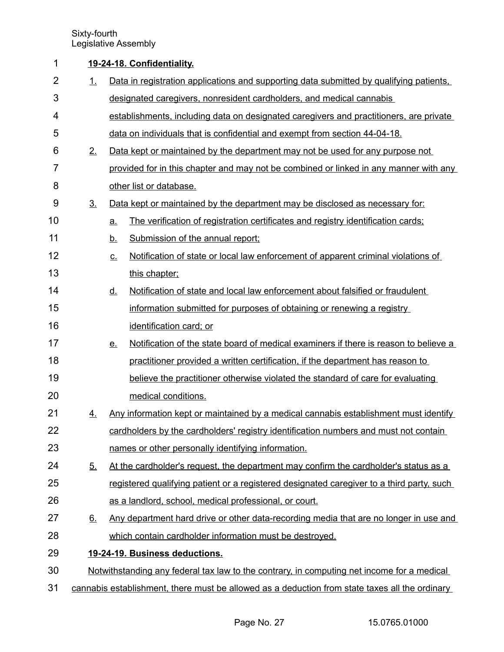### **19 - 24 - 18. Confidentiality.** 1

| $\overline{2}$ | 1.             | Data in registration applications and supporting data submitted by qualifying patients.           |
|----------------|----------------|---------------------------------------------------------------------------------------------------|
| 3              |                | designated caregivers, nonresident cardholders, and medical cannabis                              |
| 4              |                | establishments, including data on designated caregivers and practitioners, are private            |
| 5              |                | data on individuals that is confidential and exempt from section 44-04-18.                        |
| 6              | 2.             | Data kept or maintained by the department may not be used for any purpose not                     |
| $\overline{7}$ |                | provided for in this chapter and may not be combined or linked in any manner with any             |
| 8              |                | other list or database.                                                                           |
| 9              | 3 <sub>1</sub> | Data kept or maintained by the department may be disclosed as necessary for:                      |
| 10             |                | The verification of registration certificates and registry identification cards;<br>a.            |
| 11             |                | <u>b.</u><br>Submission of the annual report;                                                     |
| 12             |                | Notification of state or local law enforcement of apparent criminal violations of<br><u>c.</u>    |
| 13             |                | this chapter;                                                                                     |
| 14             |                | Notification of state and local law enforcement about falsified or fraudulent<br><u>d.</u>        |
| 15             |                | information submitted for purposes of obtaining or renewing a registry                            |
| 16             |                | identification card; or                                                                           |
| 17             |                | Notification of the state board of medical examiners if there is reason to believe a<br><u>e.</u> |
| 18             |                | practitioner provided a written certification, if the department has reason to                    |
| 19             |                | believe the practitioner otherwise violated the standard of care for evaluating                   |
| 20             |                | medical conditions.                                                                               |
| 21             | 4.             | Any information kept or maintained by a medical cannabis establishment must identify              |
| 22             |                | cardholders by the cardholders' registry identification numbers and must not contain              |
| 23             |                | names or other personally identifying information.                                                |
| 24             | <u>5.</u>      | At the cardholder's request, the department may confirm the cardholder's status as a              |
| 25             |                | registered qualifying patient or a registered designated caregiver to a third party, such         |
| 26             |                | as a landlord, school, medical professional, or court.                                            |
| 27             | 6.             | Any department hard drive or other data-recording media that are no longer in use and             |
| 28             |                | which contain cardholder information must be destroyed.                                           |
| 29             |                | 19-24-19. Business deductions.                                                                    |
| 30             |                | Notwithstanding any federal tax law to the contrary, in computing net income for a medical        |
| 31             |                | cannabis establishment, there must be allowed as a deduction from state taxes all the ordinary    |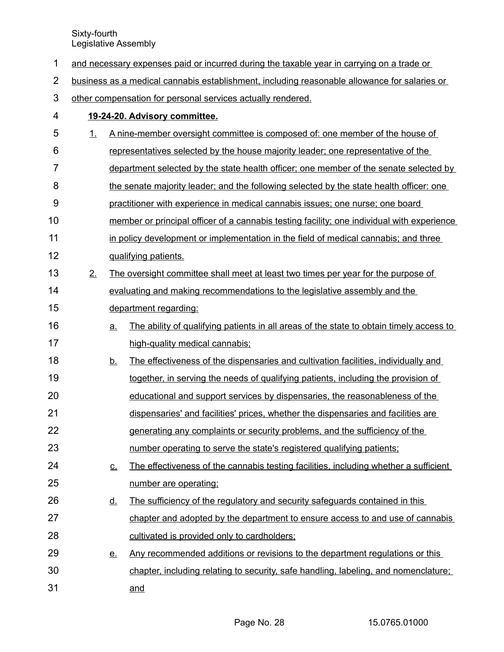|  | and necessary expenses paid or incurred during the taxable year in carrying on a trade or |  |  |
|--|-------------------------------------------------------------------------------------------|--|--|
|  |                                                                                           |  |  |

business as a medical cannabis establishment, including reasonable allowance for salaries or 2

other compensation for personal services actually rendered. 3

| 4  |    |           | 19-24-20. Advisory committee.                                                              |
|----|----|-----------|--------------------------------------------------------------------------------------------|
| 5  | 1. |           | A nine-member oversight committee is composed of: one member of the house of               |
| 6  |    |           | representatives selected by the house majority leader; one representative of the           |
| 7  |    |           | department selected by the state health officer; one member of the senate selected by      |
| 8  |    |           | the senate majority leader; and the following selected by the state health officer: one    |
| 9  |    |           | practitioner with experience in medical cannabis issues; one nurse; one board              |
| 10 |    |           | member or principal officer of a cannabis testing facility; one individual with experience |
| 11 |    |           | in policy development or implementation in the field of medical cannabis; and three        |
| 12 |    |           | qualifying patients.                                                                       |
| 13 | 2. |           | The oversight committee shall meet at least two times per year for the purpose of          |
| 14 |    |           | evaluating and making recommendations to the legislative assembly and the                  |
| 15 |    |           | department regarding:                                                                      |
| 16 |    | a.        | The ability of qualifying patients in all areas of the state to obtain timely access to    |
| 17 |    |           | high-quality medical cannabis:                                                             |
| 18 |    | <u>b.</u> | The effectiveness of the dispensaries and cultivation facilities, individually and         |
| 19 |    |           | together, in serving the needs of qualifying patients, including the provision of          |
| 20 |    |           | educational and support services by dispensaries, the reasonableness of the                |
| 21 |    |           | dispensaries' and facilities' prices, whether the dispensaries and facilities are          |
| 22 |    |           | generating any complaints or security problems, and the sufficiency of the                 |
| 23 |    |           | number operating to serve the state's registered qualifying patients;                      |
| 24 |    | <u>c.</u> | The effectiveness of the cannabis testing facilities, including whether a sufficient       |
| 25 |    |           | number are operating;                                                                      |
| 26 |    | <u>d.</u> | The sufficiency of the regulatory and security safeguards contained in this                |
| 27 |    |           | chapter and adopted by the department to ensure access to and use of cannabis              |
| 28 |    |           | cultivated is provided only to cardholders;                                                |
| 29 |    | <u>e.</u> | Any recommended additions or revisions to the department requlations or this               |
| 30 |    |           | chapter, including relating to security, safe handling, labeling, and nomenclature;        |
| 31 |    |           | and                                                                                        |